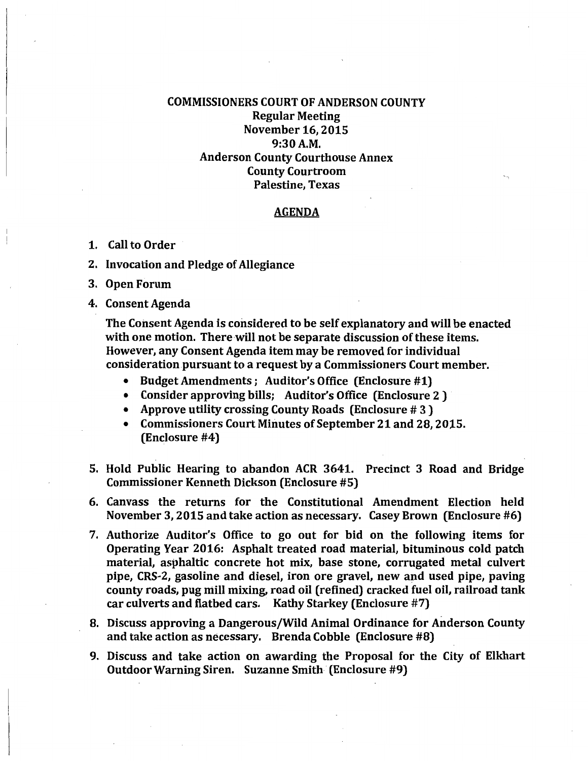## COMMISSIONERS COURT OF ANDERSON COUNTY Regular Meeting November 16,2015 9:30A.M. Anderson County Courthouse Annex County Courtroom Palestine, Texas

## AGENDA

- 1. Call to Order
- 2. Invocation and Pledge of Allegiance
- 3. Open Forum
- 4. Consent Agenda

The Consent Agenda is considered to be self explanatory and will be enacted with one motion. There will not be separate discussion of these items. However, any Consent Agenda item may be removed for individual consideration pursuant to a request by a Commissioners Court member.

- Budget Amendments; Auditor's Office (Enclosure #1)
- Consider approving bills; Auditor's Office (Enclosure 2 )
- Approve utility crossing County Roads (Enclosure # 3 )
- Commissioners Court Minutes of September 21 and 28,2015. (Enclosure #4)
- 5. Hold Public Hearing to abandon ACR 3641. Precinct 3 Road and Bridge Commissioner Kenneth Dickson (Enclosure #5)
- 6. Canvass the returns for the Constitutional Amendment Election held November 3, 2015 and take action as necessary. Casey Brown (Enclosure #6)
- 7. Authorize Auditor's Office to go out for bid on the following items for Operating Year 2016: Asphalt treated road material, bituminous cold patch material, asphaltic concrete hot mix, base stone, corrugated metal culvert pipe, CRS-2, gasoline and diesel, iron ore gravel, new and used pipe, paving county roads, pug niill mixing, road oil (refined) cracked fuel oil, railroad tank car culverts and flatbed cars. Kathy Starkey (Enclosure #7)
- 8. Discuss approving a Dangerous/Wild Animal Ordinance for Anderson County and take action as necessary. Brenda Cobble (Enclosure #8)
- 9. Discuss and take action on awarding the Proposal for the City of Elkhart Outdoor Warning Siren. Suzanne Smith (Enclosure #9)